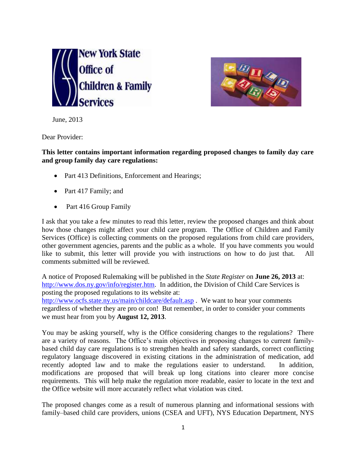



June, 2013

Dear Provider:

**This letter contains important information regarding proposed changes to family day care and group family day care regulations:**

- Part 413 Definitions, Enforcement and Hearings;
- Part 417 Family; and
- Part 416 Group Family

I ask that you take a few minutes to read this letter, review the proposed changes and think about how those changes might affect your child care program. The Office of Children and Family Services (Office) is collecting comments on the proposed regulations from child care providers, other government agencies, parents and the public as a whole. If you have comments you would like to submit, this letter will provide you with instructions on how to do just that. All comments submitted will be reviewed.

A notice of Proposed Rulemaking will be published in the *State Register* on **June 26, 2013** at: [http://www.dos.ny.gov/info/register.htm.](http://www.dos.ny.gov/info/register.htm) In addition, the Division of Child Care Services is posting the proposed regulations to its website at:

<http://www.ocfs.state.ny.us/main/childcare/default.asp> . We want to hear your comments regardless of whether they are pro or con! But remember, in order to consider your comments we must hear from you by **August 12, 2013**.

You may be asking yourself, why is the Office considering changes to the regulations? There are a variety of reasons. The Office's main objectives in proposing changes to current familybased child day care regulations is to strengthen health and safety standards, correct conflicting regulatory language discovered in existing citations in the administration of medication, add recently adopted law and to make the regulations easier to understand. In addition, modifications are proposed that will break up long citations into clearer more concise requirements. This will help make the regulation more readable, easier to locate in the text and the Office website will more accurately reflect what violation was cited.

The proposed changes come as a result of numerous planning and informational sessions with family–based child care providers, unions (CSEA and UFT), NYS Education Department, NYS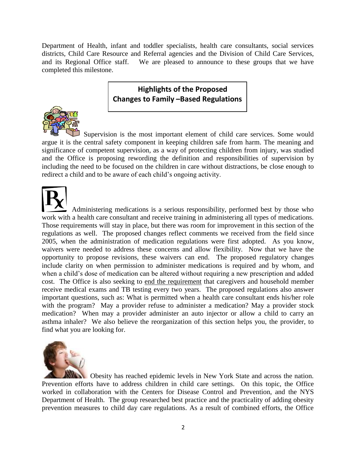Department of Health, infant and toddler specialists, health care consultants, social services districts, Child Care Resource and Referral agencies and the Division of Child Care Services, and its Regional Office staff. We are pleased to announce to these groups that we have completed this milestone.

## **Highlights of the Proposed Changes to Family –Based Regulations**



Supervision is the most important element of child care services. Some would argue it is the central safety component in keeping children safe from harm. The meaning and significance of competent supervision, as a way of protecting children from injury, was studied and the Office is proposing rewording the definition and responsibilities of supervision by including the need to be focused on the children in care without distractions, be close enough to redirect a child and to be aware of each child's ongoing activity.

 Administering medications is a serious responsibility, performed best by those who work with a health care consultant and receive training in administering all types of medications. Those requirements will stay in place, but there was room for improvement in this section of the regulations as well. The proposed changes reflect comments we received from the field since 2005, when the administration of medication regulations were first adopted. As you know, waivers were needed to address these concerns and allow flexibility. Now that we have the opportunity to propose revisions, these waivers can end. The proposed regulatory changes include clarity on when permission to administer medications is required and by whom, and when a child's dose of medication can be altered without requiring a new prescription and added cost. The Office is also seeking to end the requirement that caregivers and household member receive medical exams and TB testing every two years. The proposed regulations also answer important questions, such as: What is permitted when a health care consultant ends his/her role with the program? May a provider refuse to administer a medication? May a provider stock medication? When may a provider administer an auto injector or allow a child to carry an asthma inhaler? We also believe the reorganization of this section helps you, the provider, to find what you are looking for.



Obesity has reached epidemic levels in New York State and across the nation. Prevention efforts have to address children in child care settings. On this topic, the Office worked in collaboration with the Centers for Disease Control and Prevention, and the NYS Department of Health. The group researched best practice and the practicality of adding obesity prevention measures to child day care regulations. As a result of combined efforts, the Office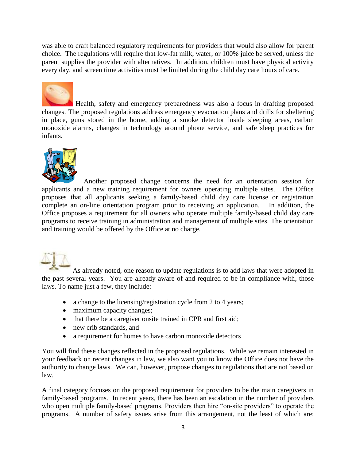was able to craft balanced regulatory requirements for providers that would also allow for parent choice. The regulations will require that low-fat milk, water, or 100% juice be served, unless the parent supplies the provider with alternatives. In addition, children must have physical activity every day, and screen time activities must be limited during the child day care hours of care.



Health, safety and emergency preparedness was also a focus in drafting proposed changes. The proposed regulations address emergency evacuation plans and drills for sheltering in place, guns stored in the home, adding a smoke detector inside sleeping areas, carbon monoxide alarms, changes in technology around phone service, and safe sleep practices for infants.



Another proposed change concerns the need for an orientation session for applicants and a new training requirement for owners operating multiple sites. The Office proposes that all applicants seeking a family-based child day care license or registration complete an on-line orientation program prior to receiving an application. In addition, the Office proposes a requirement for all owners who operate multiple family-based child day care programs to receive training in administration and management of multiple sites. The orientation and training would be offered by the Office at no charge.

As already noted, one reason to update regulations is to add laws that were adopted in the past several years. You are already aware of and required to be in compliance with, those laws. To name just a few, they include:

- a change to the licensing/registration cycle from 2 to 4 years;
- maximum capacity changes;
- that there be a caregiver onsite trained in CPR and first aid;
- new crib standards, and
- a requirement for homes to have carbon monoxide detectors

You will find these changes reflected in the proposed regulations. While we remain interested in your feedback on recent changes in law, we also want you to know the Office does not have the authority to change laws. We can, however, propose changes to regulations that are not based on law.

A final category focuses on the proposed requirement for providers to be the main caregivers in family-based programs. In recent years, there has been an escalation in the number of providers who open multiple family-based programs. Providers then hire "on-site providers" to operate the programs. A number of safety issues arise from this arrangement, not the least of which are: